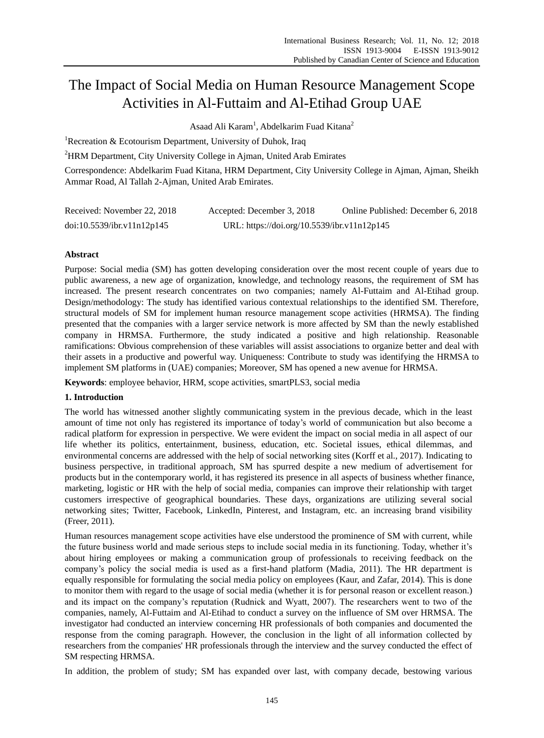# The Impact of Social Media on Human Resource Management Scope Activities in Al-Futtaim and Al-Etihad Group UAE

Asaad Ali Karam<sup>1</sup>, Abdelkarim Fuad Kitana<sup>2</sup>

<sup>1</sup>Recreation & Ecotourism Department, University of Duhok, Iraq

<sup>2</sup>HRM Department, City University College in Ajman, United Arab Emirates

Correspondence: Abdelkarim Fuad Kitana, HRM Department, City University College in Ajman, Ajman, Sheikh Ammar Road, Al Tallah 2-Ajman, United Arab Emirates.

| Received: November 22, 2018 | Accepted: December 3, 2018                  | Online Published: December 6, 2018 |
|-----------------------------|---------------------------------------------|------------------------------------|
| doi:10.5539/ibr.v11n12p145  | URL: https://doi.org/10.5539/ibr.v11n12p145 |                                    |

# **Abstract**

Purpose: Social media (SM) has gotten developing consideration over the most recent couple of years due to public awareness, a new age of organization, knowledge, and technology reasons, the requirement of SM has increased. The present research concentrates on two companies; namely Al-Futtaim and Al-Etihad group. Design/methodology: The study has identified various contextual relationships to the identified SM. Therefore, structural models of SM for implement human resource management scope activities (HRMSA). The finding presented that the companies with a larger service network is more affected by SM than the newly established company in HRMSA. Furthermore, the study indicated a positive and high relationship. Reasonable ramifications: Obvious comprehension of these variables will assist associations to organize better and deal with their assets in a productive and powerful way. Uniqueness: Contribute to study was identifying the HRMSA to implement SM platforms in (UAE) companies; Moreover, SM has opened a new avenue for HRMSA.

**Keywords**: employee behavior, HRM, scope activities, smartPLS3, social media

# **1. Introduction**

The world has witnessed another slightly communicating system in the previous decade, which in the least amount of time not only has registered its importance of today's world of communication but also become a radical platform for expression in perspective. We were evident the impact on social media in all aspect of our life whether its politics, entertainment, business, education, etc. Societal issues, ethical dilemmas, and environmental concerns are addressed with the help of social networking sites (Korff et al., 2017). Indicating to business perspective, in traditional approach, SM has spurred despite a new medium of advertisement for products but in the contemporary world, it has registered its presence in all aspects of business whether finance, marketing, logistic or HR with the help of social media, companies can improve their relationship with target customers irrespective of geographical boundaries. These days, organizations are utilizing several social networking sites; Twitter, Facebook, LinkedIn, Pinterest, and Instagram, etc. an increasing brand visibility (Freer, 2011).

Human resources management scope activities have else understood the prominence of SM with current, while the future business world and made serious steps to include social media in its functioning. Today, whether it's about hiring employees or making a communication group of professionals to receiving feedback on the company's policy the social media is used as a first-hand platform (Madia, 2011). The HR department is equally responsible for formulating the social media policy on employees (Kaur, and Zafar, 2014). This is done to monitor them with regard to the usage of social media (whether it is for personal reason or excellent reason.) and its impact on the company's reputation (Rudnick and Wyatt, 2007). The researchers went to two of the companies, namely, Al-Futtaim and Al-Etihad to conduct a survey on the influence of SM over HRMSA. The investigator had conducted an interview concerning HR professionals of both companies and documented the response from the coming paragraph. However, the conclusion in the light of all information collected by researchers from the companies' HR professionals through the interview and the survey conducted the effect of SM respecting HRMSA.

In addition, the problem of study; SM has expanded over last, with company decade, bestowing various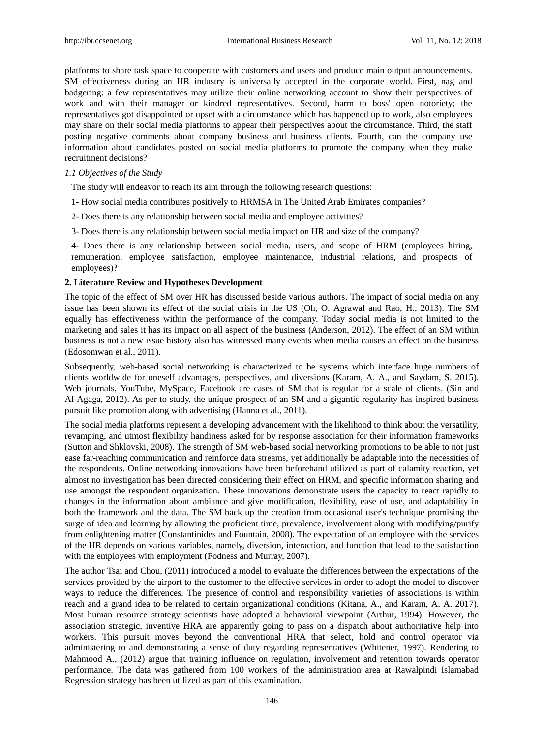platforms to share task space to cooperate with customers and users and produce main output announcements. SM effectiveness during an HR industry is universally accepted in the corporate world. First, nag and badgering: a few representatives may utilize their online networking account to show their perspectives of work and with their manager or kindred representatives. Second, harm to boss' open notoriety; the representatives got disappointed or upset with a circumstance which has happened up to work, also employees may share on their social media platforms to appear their perspectives about the circumstance. Third, the staff posting negative comments about company business and business clients. Fourth, can the company use information about candidates posted on social media platforms to promote the company when they make recruitment decisions?

## *1.1 Objectives of the Study*

The study will endeavor to reach its aim through the following research questions:

- 1- How social media contributes positively to HRMSA in The United Arab Emirates companies?
- 2- Does there is any relationship between social media and employee activities?
- 3- Does there is any relationship between social media impact on HR and size of the company?

4- Does there is any relationship between social media, users, and scope of HRM (employees hiring, remuneration, employee satisfaction, employee maintenance, industrial relations, and prospects of employees)?

## **2. Literature Review and Hypotheses Development**

The topic of the effect of SM over HR has discussed beside various authors. The impact of social media on any issue has been shown its effect of the social crisis in the US (Oh, O. Agrawal and Rao, H., 2013). The SM equally has effectiveness within the performance of the company. Today social media is not limited to the marketing and sales it has its impact on all aspect of the business (Anderson, 2012). The effect of an SM within business is not a new issue history also has witnessed many events when media causes an effect on the business (Edosomwan et al., 2011).

Subsequently, web-based social networking is characterized to be systems which interface huge numbers of clients worldwide for oneself advantages, perspectives, and diversions (Karam, A. A., and Saydam, S. 2015). Web journals, YouTube, MySpace, Facebook are cases of SM that is regular for a scale of clients. (Sin and Al-Agaga, 2012). As per to study, the unique prospect of an SM and a gigantic regularity has inspired business pursuit like promotion along with advertising (Hanna et al., 2011).

The social media platforms represent a developing advancement with the likelihood to think about the versatility, revamping, and utmost flexibility handiness asked for by response association for their information frameworks (Sutton and Shklovski, 2008). The strength of SM web-based social networking promotions to be able to not just ease far-reaching communication and reinforce data streams, yet additionally be adaptable into the necessities of the respondents. Online networking innovations have been beforehand utilized as part of calamity reaction, yet almost no investigation has been directed considering their effect on HRM, and specific information sharing and use amongst the respondent organization. These innovations demonstrate users the capacity to react rapidly to changes in the information about ambiance and give modification, flexibility, ease of use, and adaptability in both the framework and the data. The SM back up the creation from occasional user's technique promising the surge of idea and learning by allowing the proficient time, prevalence, involvement along with modifying/purify from enlightening matter (Constantinides and Fountain, 2008). The expectation of an employee with the services of the HR depends on various variables, namely, diversion, interaction, and function that lead to the satisfaction with the employees with employment (Fodness and Murray, 2007).

The author Tsai and Chou, (2011) introduced a model to evaluate the differences between the expectations of the services provided by the airport to the customer to the effective services in order to adopt the model to discover ways to reduce the differences. The presence of control and responsibility varieties of associations is within reach and a grand idea to be related to certain organizational conditions (Kitana, A., and Karam, A. A. 2017). Most human resource strategy scientists have adopted a behavioral viewpoint (Arthur, 1994). However, the association strategic, inventive HRA are apparently going to pass on a dispatch about authoritative help into workers. This pursuit moves beyond the conventional HRA that select, hold and control operator via administering to and demonstrating a sense of duty regarding representatives (Whitener, 1997). Rendering to Mahmood A., (2012) argue that training influence on regulation, involvement and retention towards operator performance. The data was gathered from 100 workers of the administration area at Rawalpindi Islamabad Regression strategy has been utilized as part of this examination.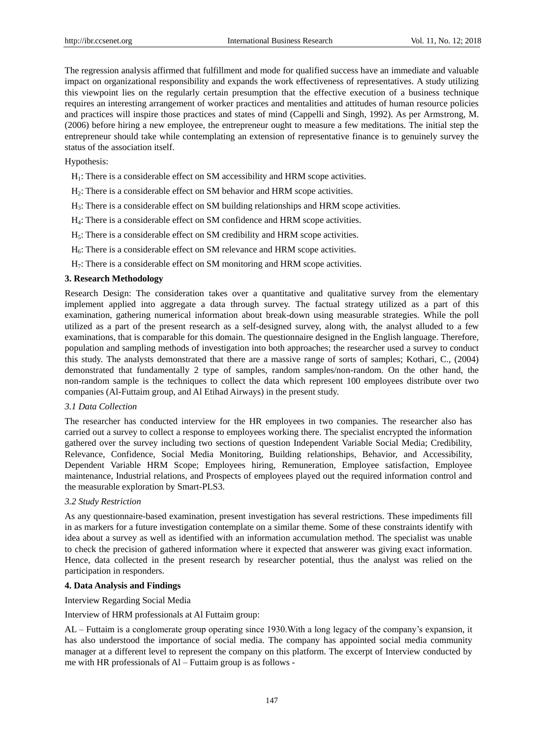The regression analysis affirmed that fulfillment and mode for qualified success have an immediate and valuable impact on organizational responsibility and expands the work effectiveness of representatives. A study utilizing this viewpoint lies on the regularly certain presumption that the effective execution of a business technique requires an interesting arrangement of worker practices and mentalities and attitudes of human resource policies and practices will inspire those practices and states of mind (Cappelli and Singh, 1992). As per Armstrong, M. (2006) before hiring a new employee, the entrepreneur ought to measure a few meditations. The initial step the entrepreneur should take while contemplating an extension of representative finance is to genuinely survey the status of the association itself.

Hypothesis:

 $H<sub>1</sub>$ : There is a considerable effect on SM accessibility and HRM scope activities.

- H2: There is a considerable effect on SM behavior and HRM scope activities.
- H3: There is a considerable effect on SM building relationships and HRM scope activities.
- H4: There is a considerable effect on SM confidence and HRM scope activities.
- H5: There is a considerable effect on SM credibility and HRM scope activities.
- $H_6$ : There is a considerable effect on SM relevance and HRM scope activities.
- H7: There is a considerable effect on SM monitoring and HRM scope activities.

# **3. Research Methodology**

Research Design: The consideration takes over a quantitative and qualitative survey from the elementary implement applied into aggregate a data through survey. The factual strategy utilized as a part of this examination, gathering numerical information about break-down using measurable strategies. While the poll utilized as a part of the present research as a self-designed survey, along with, the analyst alluded to a few examinations, that is comparable for this domain. The questionnaire designed in the English language. Therefore, population and sampling methods of investigation into both approaches; the researcher used a survey to conduct this study. The analysts demonstrated that there are a massive range of sorts of samples; Kothari, C., (2004) demonstrated that fundamentally 2 type of samples, random samples/non-random. On the other hand, the non-random sample is the techniques to collect the data which represent 100 employees distribute over two companies (Al-Futtaim group, and Al Etihad Airways) in the present study.

# *3.1 Data Collection*

The researcher has conducted interview for the HR employees in two companies. The researcher also has carried out a survey to collect a response to employees working there. The specialist encrypted the information gathered over the survey including two sections of question Independent Variable Social Media; Credibility, Relevance, Confidence, Social Media Monitoring, Building relationships, Behavior, and Accessibility, Dependent Variable HRM Scope; Employees hiring, Remuneration, Employee satisfaction, Employee maintenance, Industrial relations, and Prospects of employees played out the required information control and the measurable exploration by Smart-PLS3.

## *3.2 Study Restriction*

As any questionnaire-based examination, present investigation has several restrictions. These impediments fill in as markers for a future investigation contemplate on a similar theme. Some of these constraints identify with idea about a survey as well as identified with an information accumulation method. The specialist was unable to check the precision of gathered information where it expected that answerer was giving exact information. Hence, data collected in the present research by researcher potential, thus the analyst was relied on the participation in responders.

# **4. Data Analysis and Findings**

Interview Regarding Social Media

Interview of HRM professionals at Al Futtaim group:

AL – Futtaim is a conglomerate group operating since 1930.With a long legacy of the company's expansion, it has also understood the importance of social media. The company has appointed social media community manager at a different level to represent the company on this platform. The excerpt of Interview conducted by me with HR professionals of Al – Futtaim group is as follows -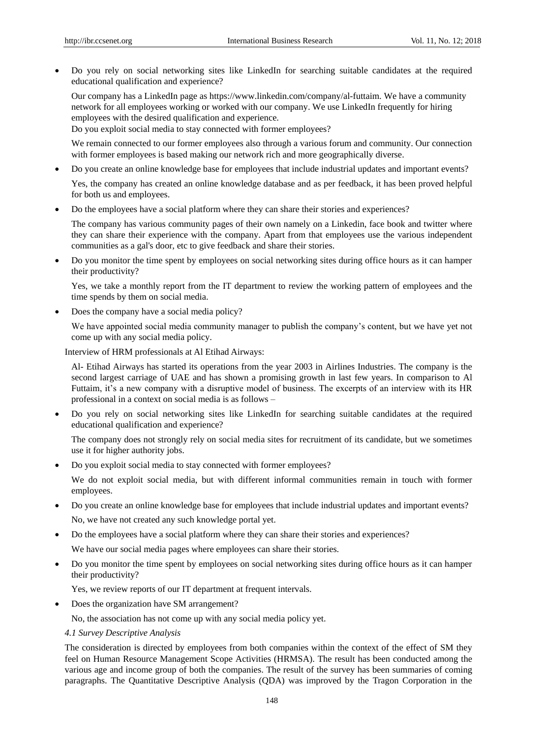Do you rely on social networking sites like LinkedIn for searching suitable candidates at the required educational qualification and experience?

Our company has a LinkedIn page as https://www.linkedin.com/company/al-futtaim. We have a community network for all employees working or worked with our company. We use LinkedIn frequently for hiring employees with the desired qualification and experience.

Do you exploit social media to stay connected with former employees?

We remain connected to our former employees also through a various forum and community. Our connection with former employees is based making our network rich and more geographically diverse.

Do you create an online knowledge base for employees that include industrial updates and important events?

Yes, the company has created an online knowledge database and as per feedback, it has been proved helpful for both us and employees.

Do the employees have a social platform where they can share their stories and experiences?

The company has various community pages of their own namely on a Linkedin, face book and twitter where they can share their experience with the company. Apart from that employees use the various independent communities as a gal's door, etc to give feedback and share their stories.

 Do you monitor the time spent by employees on social networking sites during office hours as it can hamper their productivity?

Yes, we take a monthly report from the IT department to review the working pattern of employees and the time spends by them on social media.

Does the company have a social media policy?

We have appointed social media community manager to publish the company's content, but we have yet not come up with any social media policy.

Interview of HRM professionals at Al Etihad Airways:

Al- Etihad Airways has started its operations from the year 2003 in Airlines Industries. The company is the second largest carriage of UAE and has shown a promising growth in last few years. In comparison to Al Futtaim, it's a new company with a disruptive model of business. The excerpts of an interview with its HR professional in a context on social media is as follows –

 Do you rely on social networking sites like LinkedIn for searching suitable candidates at the required educational qualification and experience?

The company does not strongly rely on social media sites for recruitment of its candidate, but we sometimes use it for higher authority jobs.

Do you exploit social media to stay connected with former employees?

We do not exploit social media, but with different informal communities remain in touch with former employees.

- Do you create an online knowledge base for employees that include industrial updates and important events? No, we have not created any such knowledge portal yet.
- Do the employees have a social platform where they can share their stories and experiences?

We have our social media pages where employees can share their stories.

 Do you monitor the time spent by employees on social networking sites during office hours as it can hamper their productivity?

Yes, we review reports of our IT department at frequent intervals.

• Does the organization have SM arrangement?

No, the association has not come up with any social media policy yet.

# *4.1 Survey Descriptive Analysis*

The consideration is directed by employees from both companies within the context of the effect of SM they feel on Human Resource Management Scope Activities (HRMSA). The result has been conducted among the various age and income group of both the companies. The result of the survey has been summaries of coming paragraphs. The Quantitative Descriptive Analysis (QDA) was improved by the Tragon Corporation in the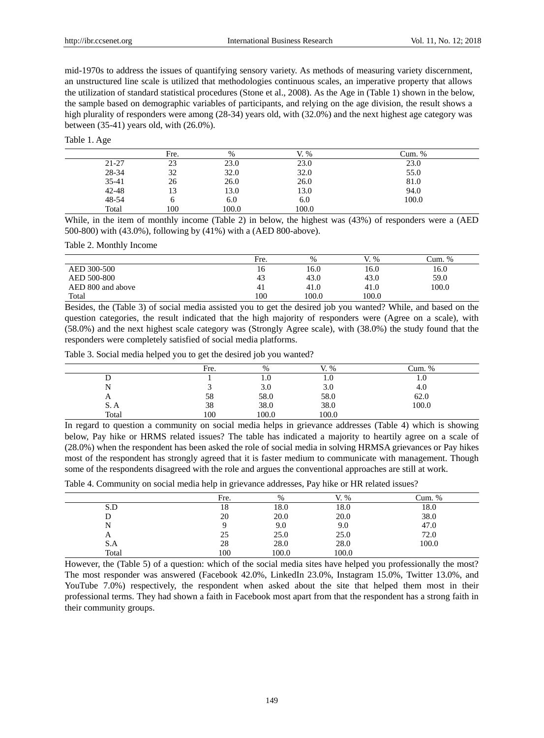mid-1970s to address the issues of quantifying sensory variety. As methods of measuring variety discernment, an unstructured line scale is utilized that methodologies continuous scales, an imperative property that allows the utilization of standard statistical procedures (Stone et al., 2008). As the Age in (Table 1) shown in the below, the sample based on demographic variables of participants, and relying on the age division, the result shows a high plurality of responders were among (28-34) years old, with (32.0%) and the next highest age category was between (35-41) years old, with (26.0%).

| Table 1. Age |  |  |
|--------------|--|--|
|--------------|--|--|

|           | Fre. | %     | $\%$  | Cum. % |
|-----------|------|-------|-------|--------|
| $21 - 27$ | 23   | 23.0  | 23.0  | 23.0   |
| 28-34     | 32   | 32.0  | 32.0  | 55.0   |
| 35-41     | 26   | 26.0  | 26.0  | 81.0   |
| $42 - 48$ | 13   | 13.0  | 13.0  | 94.0   |
| 48-54     |      | 6.0   | 6.0   | 100.0  |
| Total     | 100  | 100.0 | 100.0 |        |

While, in the item of monthly income (Table 2) in below, the highest was (43%) of responders were a (AED 500-800) with (43.0%), following by (41%) with a (AED 800-above).

Table 2. Monthly Income

|                   | Fre. | $\%$  | $\%$  | Cum. % |
|-------------------|------|-------|-------|--------|
| AED 300-500       | 16   | 16.0  | 16.0  | 16.0   |
| AED 500-800       | 43   | 43.0  | 43.0  | 59.0   |
| AED 800 and above | 41   | 41.0  | 41.0  | 100.0  |
| Total             | 100  | 100.0 | 100.0 |        |

Besides, the (Table 3) of social media assisted you to get the desired job you wanted? While, and based on the question categories, the result indicated that the high majority of responders were (Agree on a scale), with (58.0%) and the next highest scale category was (Strongly Agree scale), with (38.0%) the study found that the responders were completely satisfied of social media platforms.

| Table 3. Social media helped you to get the desired job you wanted? |  |
|---------------------------------------------------------------------|--|
|---------------------------------------------------------------------|--|

|                        | Fre. | $\%$  | $\%$<br>V | Cum. %                        |
|------------------------|------|-------|-----------|-------------------------------|
|                        |      | IJ.U  | 1.U       | $\mathbf{1} \cdot \mathbf{0}$ |
|                        |      | 3.0   | 3.0       | 4.0                           |
| $\mathbf{\mathcal{L}}$ | 58   | 58.0  | 58.0      | 62.0                          |
| S.A                    | 38   | 38.0  | 38.0      | 100.0                         |
| Total                  | 100  | 100.0 | 100.0     |                               |

In regard to question a community on social media helps in grievance addresses (Table 4) which is showing below, Pay hike or HRMS related issues? The table has indicated a majority to heartily agree on a scale of (28.0%) when the respondent has been asked the role of social media in solving HRMSA grievances or Pay hikes most of the respondent has strongly agreed that it is faster medium to communicate with management. Though some of the respondents disagreed with the role and argues the conventional approaches are still at work.

Table 4. Community on social media help in grievance addresses, Pay hike or HR related issues?

|                           | Fre. | $\frac{0}{0}$ | V<br>$\%$ | Cum. % |
|---------------------------|------|---------------|-----------|--------|
| S.D                       | 18   | 18.0          | 18.0      | 18.0   |
|                           | 20   | 20.0          | 20.0      | 38.0   |
|                           |      | 9.0           | 9.0       | 47.0   |
| $\boldsymbol{\mathsf{A}}$ | 25   | 25.0          | 25.0      | 72.0   |
| S.A                       | 28   | 28.0          | 28.0      | 100.0  |
| Total                     | 100  | 100.0         | 100.0     |        |

However, the (Table 5) of a question: which of the social media sites have helped you professionally the most? The most responder was answered (Facebook 42.0%, LinkedIn 23.0%, Instagram 15.0%, Twitter 13.0%, and YouTube 7.0%) respectively, the respondent when asked about the site that helped them most in their professional terms. They had shown a faith in Facebook most apart from that the respondent has a strong faith in their community groups.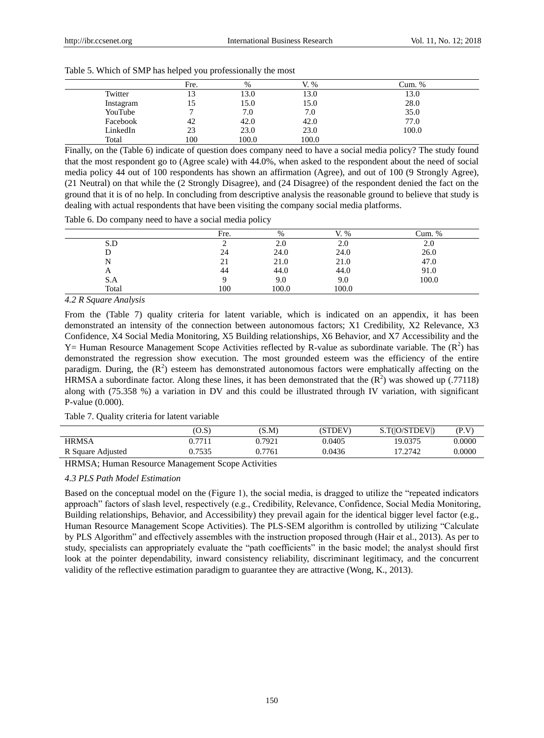|           | Fre.             | $\%$  | $\%$  | Cum. % |
|-----------|------------------|-------|-------|--------|
| Twitter   | $\sqrt{2}$<br>10 | 13.0  | 13.0  | 13.0   |
| Instagram |                  | 15.0  | 15.0  | 28.0   |
| YouTube   |                  | 7.0   | 7.0   | 35.0   |
| Facebook  | 42               | 42.0  | 42.0  | 77.0   |
| LinkedIn  | 23               | 23.0  | 23.0  | 100.0  |
| Total     | 100              | 100.0 | 100.0 |        |

Table 5. Which of SMP has helped you professionally the most

Finally, on the (Table 6) indicate of question does company need to have a social media policy? The study found that the most respondent go to (Agree scale) with 44.0%, when asked to the respondent about the need of social media policy 44 out of 100 respondents has shown an affirmation (Agree), and out of 100 (9 Strongly Agree), (21 Neutral) on that while the (2 Strongly Disagree), and (24 Disagree) of the respondent denied the fact on the ground that it is of no help. In concluding from descriptive analysis the reasonable ground to believe that study is dealing with actual respondents that have been visiting the company social media platforms.

Table 6. Do company need to have a social media policy

|       | Fre. | $\%$  | V<br>V. % | Cum. % |
|-------|------|-------|-----------|--------|
| S.D   |      | 2.0   | 2.0       | 2.0    |
|       | 24   | 24.0  | 24.0      | 26.0   |
| N     | 21   | 21.0  | 21.0      | 47.0   |
| A     | 44   | 44.0  | 44.0      | 91.0   |
| S.A   |      | 9.0   | 9.0       | 100.0  |
| Total | 100  | 100.0 | 100.0     |        |

*4.2 R Square Analysis*

From the (Table 7) quality criteria for latent variable, which is indicated on an appendix, it has been demonstrated an intensity of the connection between autonomous factors; X1 Credibility, X2 Relevance, X3 Confidence, X4 Social Media Monitoring, X5 Building relationships, X6 Behavior, and X7 Accessibility and the Y = Human Resource Management Scope Activities reflected by R-value as subordinate variable. The  $(R^2)$  has demonstrated the regression show execution. The most grounded esteem was the efficiency of the entire paradigm. During, the  $(R^2)$  esteem has demonstrated autonomous factors were emphatically affecting on the HRMSA a subordinate factor. Along these lines, it has been demonstrated that the  $(R^2)$  was showed up (.77118) along with (75.358 %) a variation in DV and this could be illustrated through IV variation, with significant P-value (0.000).

# Table 7. Quality criteria for latent variable

|                   | (O.S)  | (S.M)  | (STDEV) | S.T( O/STDEV ) | (P.V)  |
|-------------------|--------|--------|---------|----------------|--------|
| <b>HRMSA</b>      | ).771  | 0.7921 | 0.0405  | 19.0375        | 0.0000 |
| R Square Adjusted | ).7535 | 0.7761 | 0.0436  | 17.2742        | 0.0000 |

HRMSA; Human Resource Management Scope Activities

# *4.3 PLS Path Model Estimation*

Based on the conceptual model on the (Figure 1), the social media, is dragged to utilize the "repeated indicators approach" factors of slash level, respectively (e.g., Credibility, Relevance, Confidence, Social Media Monitoring, Building relationships, Behavior, and Accessibility) they prevail again for the identical bigger level factor (e.g., Human Resource Management Scope Activities). The PLS-SEM algorithm is controlled by utilizing "Calculate by PLS Algorithm" and effectively assembles with the instruction proposed through (Hair et al., 2013). As per to study, specialists can appropriately evaluate the "path coefficients" in the basic model; the analyst should first look at the pointer dependability, inward consistency reliability, discriminant legitimacy, and the concurrent validity of the reflective estimation paradigm to guarantee they are attractive (Wong, K., 2013).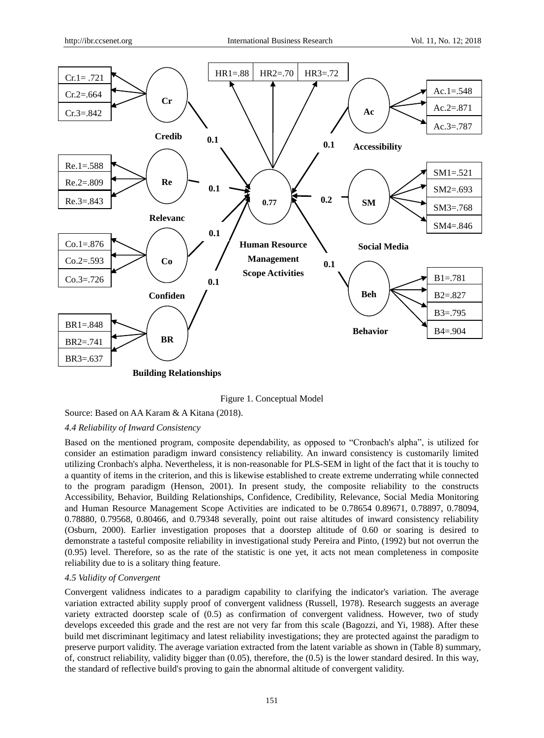

Figure 1. Conceptual Model

Source: Based on AA Karam & A Kitana (2018).

# *4.4 Reliability of Inward Consistency*

Based on the mentioned program, composite dependability, as opposed to "Cronbach's alpha", is utilized for consider an estimation paradigm inward consistency reliability. An inward consistency is customarily limited utilizing Cronbach's alpha. Nevertheless, it is non-reasonable for PLS-SEM in light of the fact that it is touchy to a quantity of items in the criterion, and this is likewise established to create extreme underrating while connected to the program paradigm (Henson, 2001). In present study, the composite reliability to the constructs Accessibility, Behavior, Building Relationships, Confidence, Credibility, Relevance, Social Media Monitoring and Human Resource Management Scope Activities are indicated to be 0.78654 0.89671, 0.78897, 0.78094, 0.78880, 0.79568, 0.80466, and 0.79348 severally, point out raise altitudes of inward consistency reliability (Osburn, 2000). Earlier investigation proposes that a doorstep altitude of 0.60 or soaring is desired to demonstrate a tasteful composite reliability in investigational study Pereira and Pinto, (1992) but not overrun the (0.95) level. Therefore, so as the rate of the statistic is one yet, it acts not mean completeness in composite reliability due to is a solitary thing feature.

#### *4.5 Validity of Convergent*

Convergent validness indicates to a paradigm capability to clarifying the indicator's variation. The average variation extracted ability supply proof of convergent validness (Russell, 1978). Research suggests an average variety extracted doorstep scale of (0.5) as confirmation of convergent validness. However, two of study develops exceeded this grade and the rest are not very far from this scale (Bagozzi, and Yi, 1988). After these build met discriminant legitimacy and latest reliability investigations; they are protected against the paradigm to preserve purport validity. The average variation extracted from the latent variable as shown in (Table 8) summary, of, construct reliability, validity bigger than (0.05), therefore, the (0.5) is the lower standard desired. In this way, the standard of reflective build's proving to gain the abnormal altitude of convergent validity.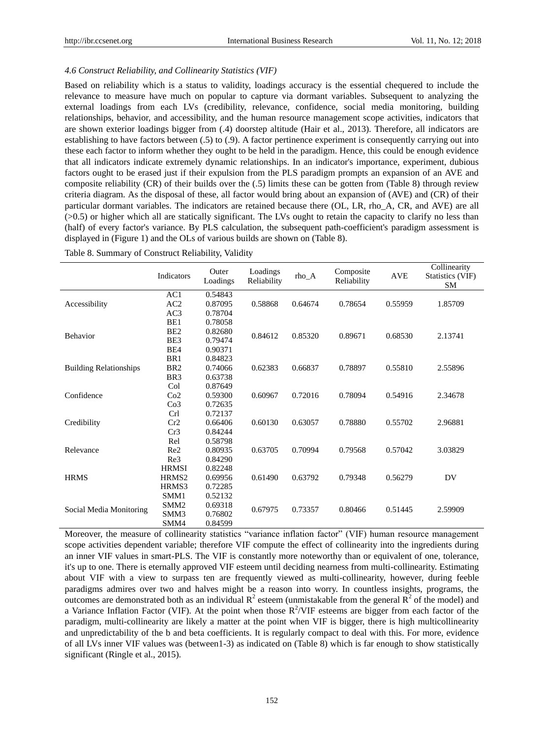# *4.6 Construct Reliability, and Collinearity Statistics (VIF)*

Based on reliability which is a status to validity, loadings accuracy is the essential chequered to include the relevance to measure have much on popular to capture via dormant variables. Subsequent to analyzing the external loadings from each LVs (credibility, relevance, confidence, social media monitoring, building relationships, behavior, and accessibility, and the human resource management scope activities, indicators that are shown exterior loadings bigger from (.4) doorstep altitude (Hair et al., 2013). Therefore, all indicators are establishing to have factors between (.5) to (.9). A factor pertinence experiment is consequently carrying out into these each factor to inform whether they ought to be held in the paradigm. Hence, this could be enough evidence that all indicators indicate extremely dynamic relationships. In an indicator's importance, experiment, dubious factors ought to be erased just if their expulsion from the PLS paradigm prompts an expansion of an AVE and composite reliability (CR) of their builds over the (.5) limits these can be gotten from (Table 8) through review criteria diagram. As the disposal of these, all factor would bring about an expansion of (AVE) and (CR) of their particular dormant variables. The indicators are retained because there (OL, LR, rho\_A, CR, and AVE) are all (>0.5) or higher which all are statically significant. The LVs ought to retain the capacity to clarify no less than (half) of every factor's variance. By PLS calculation, the subsequent path-coefficient's paradigm assessment is displayed in (Figure 1) and the OLs of various builds are shown on (Table 8).

|                               | Indicators             | Outer<br>Loadings  | Loadings<br>Reliability | rho_A   | Composite<br>Reliability | <b>AVE</b> | Collinearity<br>Statistics (VIF)<br><b>SM</b> |  |
|-------------------------------|------------------------|--------------------|-------------------------|---------|--------------------------|------------|-----------------------------------------------|--|
|                               | AC1                    | 0.54843            |                         |         |                          |            |                                               |  |
| Accessibility                 | AC2                    | 0.87095            | 0.58868                 | 0.64674 | 0.78654                  | 0.55959    | 1.85709                                       |  |
|                               | AC3                    | 0.78704            |                         |         |                          |            |                                               |  |
|                               | BE1<br>BE <sub>2</sub> | 0.78058<br>0.82680 |                         |         |                          |            |                                               |  |
| Behavior                      | BE3                    | 0.79474            | 0.84612                 | 0.85320 | 0.89671                  | 0.68530    | 2.13741                                       |  |
|                               | BE4                    | 0.90371            |                         |         |                          |            |                                               |  |
|                               | BR1                    | 0.84823            |                         |         |                          |            |                                               |  |
| <b>Building Relationships</b> | BR <sub>2</sub>        | 0.74066            | 0.62383                 | 0.66837 | 0.78897                  | 0.55810    | 2.55896                                       |  |
|                               | BR <sub>3</sub>        | 0.63738            |                         |         |                          |            |                                               |  |
|                               | Col                    | 0.87649            |                         |         |                          |            |                                               |  |
| Confidence                    | Co2                    | 0.59300            | 0.60967                 | 0.72016 | 0.78094                  | 0.54916    | 2.34678                                       |  |
|                               | Co <sub>3</sub>        | 0.72635            |                         |         |                          |            |                                               |  |
|                               | <b>Crl</b>             | 0.72137            |                         | 0.63057 |                          | 0.55702    |                                               |  |
| Credibility                   | Cr2                    | 0.66406            | 0.60130                 |         | 0.78880                  |            | 2.96881                                       |  |
|                               | Cr3                    | 0.84244            |                         |         |                          |            |                                               |  |
|                               | Rel                    | 0.58798            |                         |         |                          |            |                                               |  |
| Relevance                     | Re2                    | 0.80935            | 0.63705                 | 0.70994 | 0.79568                  | 0.57042    | 3.03829                                       |  |
|                               | Re3                    | 0.84290            |                         |         |                          |            |                                               |  |
|                               | <b>HRMSI</b>           | 0.82248            |                         |         |                          |            |                                               |  |
| <b>HRMS</b>                   | HRMS2                  | 0.69956            | 0.61490                 | 0.63792 | 0.79348                  | 0.56279    | DV                                            |  |
|                               | HRMS3                  | 0.72285            |                         |         |                          |            |                                               |  |
|                               | SMM1                   | 0.52132            |                         |         |                          |            |                                               |  |
|                               | SMM <sub>2</sub>       | 0.69318            |                         |         | 0.80466                  |            |                                               |  |
| Social Media Monitoring       | SMM3                   | 0.76802            | 0.67975                 | 0.73357 |                          | 0.51445    | 2.59909                                       |  |
|                               | SMM4                   | 0.84599            |                         |         |                          |            |                                               |  |

Table 8. Summary of Construct Reliability, Validity

Moreover, the measure of collinearity statistics "variance inflation factor" (VIF) human resource management scope activities dependent variable; therefore VIF compute the effect of collinearity into the ingredients during an inner VIF values in smart-PLS. The VIF is constantly more noteworthy than or equivalent of one, tolerance, it's up to one. There is eternally approved VIF esteem until deciding nearness from multi-collinearity. Estimating about VIF with a view to surpass ten are frequently viewed as multi-collinearity, however, during feeble paradigms admires over two and halves might be a reason into worry. In countless insights, programs, the outcomes are demonstrated both as an individual  $R^2$  esteem (unmistakable from the general  $R^2$  of the model) and a Variance Inflation Factor (VIF). At the point when those  $R^2/VIF$  esteems are bigger from each factor of the paradigm, multi-collinearity are likely a matter at the point when VIF is bigger, there is high multicollinearity and unpredictability of the b and beta coefficients. It is regularly compact to deal with this. For more, evidence of all LVs inner VIF values was (between1-3) as indicated on (Table 8) which is far enough to show statistically significant (Ringle et al., 2015).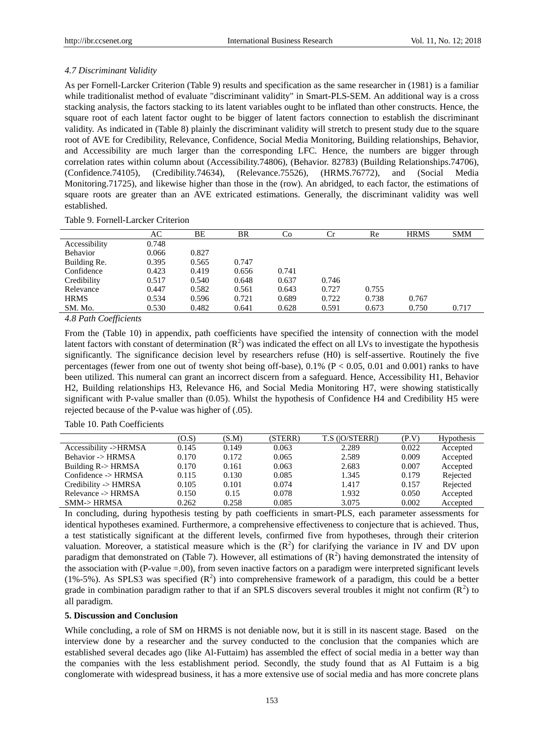# *4.7 Discriminant Validity*

As per Fornell-Larcker Criterion (Table 9) results and specification as the same researcher in (1981) is a familiar while traditionalist method of evaluate "discriminant validity" in Smart-PLS-SEM. An additional way is a cross stacking analysis, the factors stacking to its latent variables ought to be inflated than other constructs. Hence, the square root of each latent factor ought to be bigger of latent factors connection to establish the discriminant validity. As indicated in (Table 8) plainly the discriminant validity will stretch to present study due to the square root of AVE for Credibility, Relevance, Confidence, Social Media Monitoring, Building relationships, Behavior, and Accessibility are much larger than the corresponding LFC. Hence, the numbers are bigger through correlation rates within column about (Accessibility.74806), (Behavior. 82783) (Building Relationships.74706), (Confidence.74105), (Credibility.74634), (Relevance.75526), (HRMS.76772), and (Social Media Monitoring.71725), and likewise higher than those in the (row). An abridged, to each factor, the estimations of square roots are greater than an AVE extricated estimations. Generally, the discriminant validity was well established.

### Table 9. Fornell-Larcker Criterion

|               | AC.   | ВE    | BR    | Co    | Сr    | Re    | <b>HRMS</b> | <b>SMM</b> |
|---------------|-------|-------|-------|-------|-------|-------|-------------|------------|
| Accessibility | 0.748 |       |       |       |       |       |             |            |
| Behavior      | 0.066 | 0.827 |       |       |       |       |             |            |
| Building Re.  | 0.395 | 0.565 | 0.747 |       |       |       |             |            |
| Confidence    | 0.423 | 0.419 | 0.656 | 0.741 |       |       |             |            |
| Credibility   | 0.517 | 0.540 | 0.648 | 0.637 | 0.746 |       |             |            |
| Relevance     | 0.447 | 0.582 | 0.561 | 0.643 | 0.727 | 0.755 |             |            |
| <b>HRMS</b>   | 0.534 | 0.596 | 0.721 | 0.689 | 0.722 | 0.738 | 0.767       |            |
| SM. Mo.       | 0.530 | 0.482 | 0.641 | 0.628 | 0.591 | 0.673 | 0.750       | 0.717      |
|               |       |       |       |       |       |       |             |            |

*4.8 Path Coefficients*

From the (Table 10) in appendix, path coefficients have specified the intensity of connection with the model latent factors with constant of determination  $(R^2)$  was indicated the effect on all LVs to investigate the hypothesis significantly. The significance decision level by researchers refuse (H0) is self-assertive. Routinely the five percentages (fewer from one out of twenty shot being off-base),  $0.1\%$  (P < 0.05, 0.01 and 0.001) ranks to have been utilized. This numeral can grant an incorrect discern from a safeguard. Hence, Accessibility H1, Behavior H2, Building relationships H3, Relevance H6, and Social Media Monitoring H7, were showing statistically significant with P-value smaller than (0.05). Whilst the hypothesis of Confidence H4 and Credibility H5 were rejected because of the P-value was higher of (.05).

|  | Table 10. Path Coefficients |  |
|--|-----------------------------|--|
|  |                             |  |

|                                | (O.S) | (S.M) | (STERR) | $T.S$ ( $ O/STERR $ ) | (P.V) | <b>Hypothesis</b> |
|--------------------------------|-------|-------|---------|-----------------------|-------|-------------------|
| Accessibility ->HRMSA          | 0.145 | 0.149 | 0.063   | 2.289                 | 0.022 | Accepted          |
| Behavior -> HRMSA              | 0.170 | 0.172 | 0.065   | 2.589                 | 0.009 | Accepted          |
| Building R-> HRMSA             | 0.170 | 0.161 | 0.063   | 2.683                 | 0.007 | Accepted          |
| Confidence $\rightarrow$ HRMSA | 0.115 | 0.130 | 0.085   | 1.345                 | 0.179 | Rejected          |
| Credibility -> HMRSA           | 0.105 | 0.101 | 0.074   | 1.417                 | 0.157 | Rejected          |
| Relevance -> HRMSA             | 0.150 | 0.15  | 0.078   | 1.932                 | 0.050 | Accepted          |
| <b>SMM-&gt;HRMSA</b>           | 0.262 | 0.258 | 0.085   | 3.075                 | 0.002 | Accepted          |

In concluding, during hypothesis testing by path coefficients in smart-PLS, each parameter assessments for identical hypotheses examined. Furthermore, a comprehensive effectiveness to conjecture that is achieved. Thus, a test statistically significant at the different levels, confirmed five from hypotheses, through their criterion valuation. Moreover, a statistical measure which is the  $(R^2)$  for clarifying the variance in IV and DV upon paradigm that demonstrated on (Table 7). However, all estimations of  $(R^2)$  having demonstrated the intensity of the association with (P-value =.00), from seven inactive factors on a paradigm were interpreted significant levels (1%-5%). As SPLS3 was specified  $(R^2)$  into comprehensive framework of a paradigm, this could be a better grade in combination paradigm rather to that if an SPLS discovers several troubles it might not confirm  $(R<sup>2</sup>)$  to all paradigm.

# **5. Discussion and Conclusion**

While concluding, a role of SM on HRMS is not deniable now, but it is still in its nascent stage. Based on the interview done by a researcher and the survey conducted to the conclusion that the companies which are established several decades ago (like Al-Futtaim) has assembled the effect of social media in a better way than the companies with the less establishment period. Secondly, the study found that as Al Futtaim is a big conglomerate with widespread business, it has a more extensive use of social media and has more concrete plans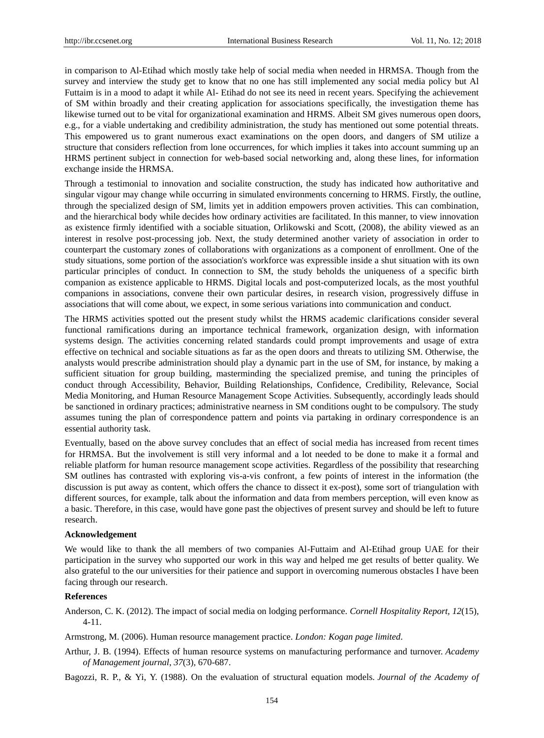in comparison to Al-Etihad which mostly take help of social media when needed in HRMSA. Though from the survey and interview the study get to know that no one has still implemented any social media policy but Al Futtaim is in a mood to adapt it while Al- Etihad do not see its need in recent years. Specifying the achievement of SM within broadly and their creating application for associations specifically, the investigation theme has likewise turned out to be vital for organizational examination and HRMS. Albeit SM gives numerous open doors, e.g., for a viable undertaking and credibility administration, the study has mentioned out some potential threats. This empowered us to grant numerous exact examinations on the open doors, and dangers of SM utilize a structure that considers reflection from lone occurrences, for which implies it takes into account summing up an HRMS pertinent subject in connection for web-based social networking and, along these lines, for information exchange inside the HRMSA.

Through a testimonial to innovation and socialite construction, the study has indicated how authoritative and singular vigour may change while occurring in simulated environments concerning to HRMS. Firstly, the outline, through the specialized design of SM, limits yet in addition empowers proven activities. This can combination, and the hierarchical body while decides how ordinary activities are facilitated. In this manner, to view innovation as existence firmly identified with a sociable situation, Orlikowski and Scott, (2008), the ability viewed as an interest in resolve post-processing job. Next, the study determined another variety of association in order to counterpart the customary zones of collaborations with organizations as a component of enrollment. One of the study situations, some portion of the association's workforce was expressible inside a shut situation with its own particular principles of conduct. In connection to SM, the study beholds the uniqueness of a specific birth companion as existence applicable to HRMS. Digital locals and post-computerized locals, as the most youthful companions in associations, convene their own particular desires, in research vision, progressively diffuse in associations that will come about, we expect, in some serious variations into communication and conduct.

The HRMS activities spotted out the present study whilst the HRMS academic clarifications consider several functional ramifications during an importance technical framework, organization design, with information systems design. The activities concerning related standards could prompt improvements and usage of extra effective on technical and sociable situations as far as the open doors and threats to utilizing SM. Otherwise, the analysts would prescribe administration should play a dynamic part in the use of SM, for instance, by making a sufficient situation for group building, masterminding the specialized premise, and tuning the principles of conduct through Accessibility, Behavior, Building Relationships, Confidence, Credibility, Relevance, Social Media Monitoring, and Human Resource Management Scope Activities. Subsequently, accordingly leads should be sanctioned in ordinary practices; administrative nearness in SM conditions ought to be compulsory. The study assumes tuning the plan of correspondence pattern and points via partaking in ordinary correspondence is an essential authority task.

Eventually, based on the above survey concludes that an effect of social media has increased from recent times for HRMSA. But the involvement is still very informal and a lot needed to be done to make it a formal and reliable platform for human resource management scope activities. Regardless of the possibility that researching SM outlines has contrasted with exploring vis-a-vis confront, a few points of interest in the information (the discussion is put away as content, which offers the chance to dissect it ex-post), some sort of triangulation with different sources, for example, talk about the information and data from members perception, will even know as a basic. Therefore, in this case, would have gone past the objectives of present survey and should be left to future research.

### **Acknowledgement**

We would like to thank the all members of two companies Al-Futtaim and Al-Etihad group UAE for their participation in the survey who supported our work in this way and helped me get results of better quality. We also grateful to the our universities for their patience and support in overcoming numerous obstacles I have been facing through our research.

## **References**

Anderson, C. K. (2012). The impact of social media on lodging performance. *Cornell Hospitality Report, 12*(15), 4-11.

Armstrong, M. (2006). Human resource management practice. *London: Kogan page limited*.

Arthur, J. B. (1994). Effects of human resource systems on manufacturing performance and turnover. *Academy of Management journal*, *37*(3), 670-687.

Bagozzi, R. P., & Yi, Y. (1988). On the evaluation of structural equation models. *Journal of the Academy of*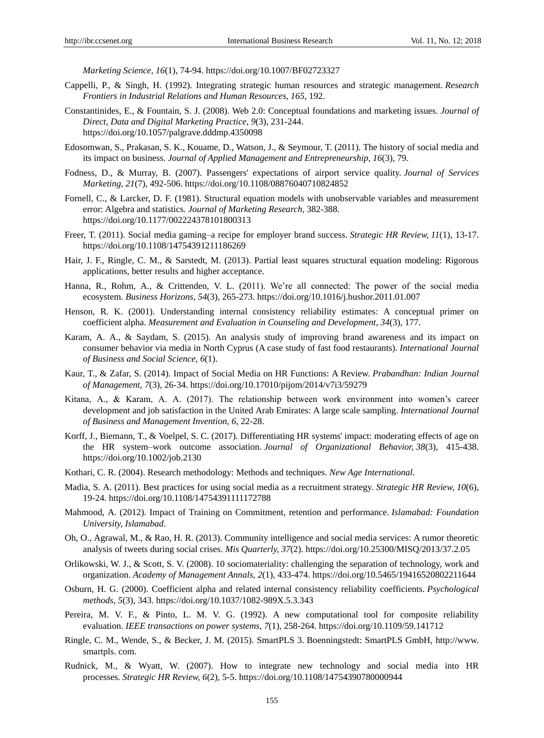*Marketing Science, 16*(1), 74-94. https://doi.org/10.1007/BF02723327

- Cappelli, P., & Singh, H. (1992). Integrating strategic human resources and strategic management. *Research Frontiers in Industrial Relations and Human Resources*, *165*, 192.
- Constantinides, E., & Fountain, S. J. (2008). Web 2.0: Conceptual foundations and marketing issues. *Journal of Direct, Data and Digital Marketing Practice*, *9*(3), 231-244. https://doi.org/10.1057/palgrave.dddmp.4350098
- Edosomwan, S., Prakasan, S. K., Kouame, D., Watson, J., & Seymour, T. (2011). The history of social media and its impact on business. *Journal of Applied Management and Entrepreneurship, 16*(3), 79.
- Fodness, D., & Murray, B. (2007). Passengers' expectations of airport service quality. *Journal of Services Marketing, 21*(7), 492-506. https://doi.org/10.1108/08876040710824852
- Fornell, C., & Larcker, D. F. (1981). Structural equation models with unobservable variables and measurement error: Algebra and statistics*. Journal of Marketing Research*, 382-388. https://doi.org/10.1177/002224378101800313
- Freer, T. (2011). Social media gaming–a recipe for employer brand success. *Strategic HR Review, 11*(1), 13-17. https://doi.org/10.1108/14754391211186269
- Hair, J. F., Ringle, C. M., & Sarstedt, M. (2013). Partial least squares structural equation modeling: Rigorous applications, better results and higher acceptance.
- Hanna, R., Rohm, A., & Crittenden, V. L. (2011). We're all connected: The power of the social media ecosystem. *Business Horizons*, *54*(3), 265-273. https://doi.org/10.1016/j.bushor.2011.01.007
- Henson, R. K. (2001). Understanding internal consistency reliability estimates: A conceptual primer on coefficient alpha. *Measurement and Evaluation in Counseling and Development, 34*(3), 177.
- Karam, A. A., & Saydam, S. (2015). An analysis study of improving brand awareness and its impact on consumer behavior via media in North Cyprus (A case study of fast food restaurants). *International Journal of Business and Social Science, 6*(1).
- Kaur, T., & Zafar, S. (2014). Impact of Social Media on HR Functions: A Review. *Prabandhan: Indian Journal of Management, 7*(3), 26-34. https://doi.org/10.17010/pijom/2014/v7i3/59279
- Kitana, A., & Karam, A. A. (2017). The relationship between work environment into women's career development and job satisfaction in the United Arab Emirates: A large scale sampling. *International Journal of Business and Management Invention, 6*, 22-28.
- Korff, J., Biemann, T., & Voelpel, S. C. (2017). Differentiating HR systems' impact: moderating effects of age on the HR system–work outcome association. *Journal of Organizational Behavior, 38*(3), 415-438. https://doi.org/10.1002/job.2130
- Kothari, C. R. (2004). Research methodology: Methods and techniques. *New Age International*.
- Madia, S. A. (2011). Best practices for using social media as a recruitment strategy. *Strategic HR Review, 10*(6), 19-24. https://doi.org/10.1108/14754391111172788
- Mahmood, A. (2012). Impact of Training on Commitment, retention and performance. *Islamabad: Foundation University, Islamabad*.
- Oh, O., Agrawal, M., & Rao, H. R. (2013). Community intelligence and social media services: A rumor theoretic analysis of tweets during social crises. *Mis Quarterly, 37*(2). https://doi.org/10.25300/MISQ/2013/37.2.05
- Orlikowski, W. J., & Scott, S. V. (2008). 10 sociomateriality: challenging the separation of technology, work and organization. *Academy of Management Annals, 2*(1), 433-474. https://doi.org/10.5465/19416520802211644
- Osburn, H. G. (2000). Coefficient alpha and related internal consistency reliability coefficients. *Psychological methods, 5*(3), 343. https://doi.org/10.1037/1082-989X.5.3.343
- Pereira, M. V. F., & Pinto, L. M. V. G. (1992). A new computational tool for composite reliability evaluation. *IEEE transactions on power systems, 7*(1), 258-264. https://doi.org/10.1109/59.141712
- Ringle, C. M., Wende, S., & Becker, J. M. (2015). SmartPLS 3. Boenningstedt: SmartPLS GmbH, http://www. smartpls. com.
- Rudnick, M., & Wyatt, W. (2007). How to integrate new technology and social media into HR processes. *Strategic HR Review, 6*(2), 5-5. https://doi.org/10.1108/14754390780000944